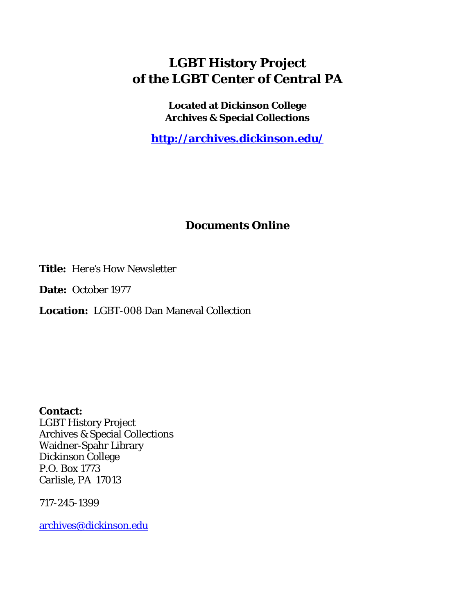# **LGBT History Project of the LGBT Center of Central PA**

**Located at Dickinson College Archives & Special Collections**

**<http://archives.dickinson.edu/>**

## **Documents Online**

**Title:** *Here's How Newsletter*

**Date:** October 1977

**Location:** LGBT-008 Dan Maneval Collection

**Contact:**  LGBT History Project Archives & Special Collections Waidner-Spahr Library Dickinson College P.O. Box 1773 Carlisle, PA 17013

717-245-1399

[archives@dickinson.edu](mailto:archives@dickinson.edu)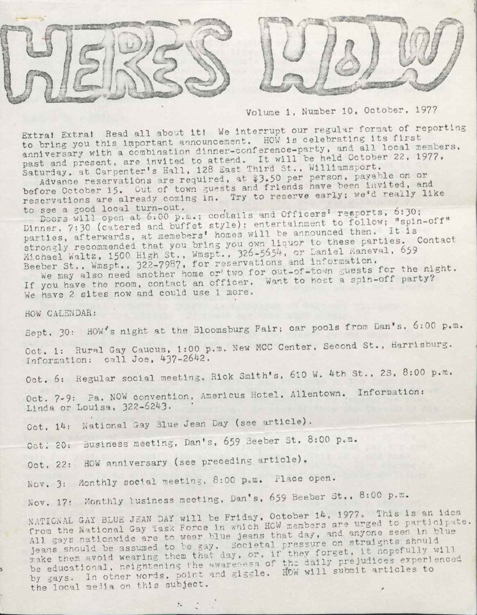



Volume 1, Number 10, October, 1977

Extra! Extra! Read all about it! We interrupt our regular format of reporting Extral Extral Read all about it! We interrupt our regular format of first<br>to bring you this important announcement. HOW is celebrating its first to bring you this important announcement. Then is settly, and all local members, co Sillig you can't a combination dinner-conference-party, and all local members and present, are invited to attend. It will be held October 22, 1977. urday, at Carpenter's Hall, 120 East initial St., with analysis on or<br>Advance reservations are required, at \$3.50 per person, payable on or past and present, are invited to attend. It will be held boobbed.<br>Saturday, at Carpenter's Hall, 128 East Third St., Williamsport.

Advance reservations are required, at wood for part have been invited, and<br>before October 15. Out of town guests and friends have been invited, and reservations are already coming in. Try to reserve early; we'd really like<br>to see a good local turn-out.

Doors will open at 6:00 p.m.; coctails and Officers' resports, 6:30; Dinner, 7:30 (catered and buffet style); entertainment to follow; "spin-off" parties, afterwards, at memebers' homes will be announced then. It is parties, afterwards, at memebers' homes will be announced then. To is<br>strongly recommended that you bring you own liquor to these parties. Conta strongly recommended that you bring you benefit for Daniel Maneval, 659 Beeber St., Wmspt., 322-7987, for reservations and information.

We may also need another home or' two for out-of-town guests for the night.<br>If you have the room, contact an officer. Want to host a spin-off party? We have <sup>2</sup> sites now and could use <sup>1</sup> more.

HOW CALENDAR:

Sept. 30: HOW's night at the Bloomsburg Fair; car pools from Dan's, 6:00 p.m.

Oct. 1: Rural Gay Caucus, 1:00 p.m. New MCC Center, Second St., Harrisburg. Information: call Joe, 437-2642.

Oct. 6: Regular social meeting, Rick Smith's, <sup>610</sup> W. 4th St., 2S, 8:00 p.m.

Oct. 7-9: Pa. NOW convention, Americus Hotel, Allentown. Information: Linda or Louisa, 322-6243.

Oct. 14: National Gay Blue Jean Day (see article).

Oct. 20: Business meeting, Dan's, 659 Beeber St. 8:00 p.m.

Oct. 22: HOW anniversary (see preceding article).

Nov. 3: Monthly social meeting, 8:00 p.m. Place open.

Nov. 17: Monthly tusiness meeting, Dan's, 659 Beeber St., 8:00 p.m.

NATIONAL GAY BLUE JEAN DAY will be Friday, October 14, 1977. This is an idea er 14, 1977. This is the interest NATIONAL GAI BLUE JEAN DAI WIIT SCITILLY HOW members are urged to participal<br>from the National Gay Task Force in which HOW members are urged to participal on straights should be gay. Societal pressure on straights should<br>m that day, or, if they forget, it nopefully will the daily prejudices experienced make them avoid wearing them only wareness of the daily prejudices experi-<br>be educational, heightening the awareness of the daily prejudices experifrom the National Gay lask force in which how more<br>All gays nationwide are to wear blue jeans that day, should be assumed to be gay. Societal<br>hem avoid wearing them that day, or, if them avoid wearing them that day by gays. In other words, point and giggle. the local media on this subject. jeans sh <sup>m</sup> ak e *\**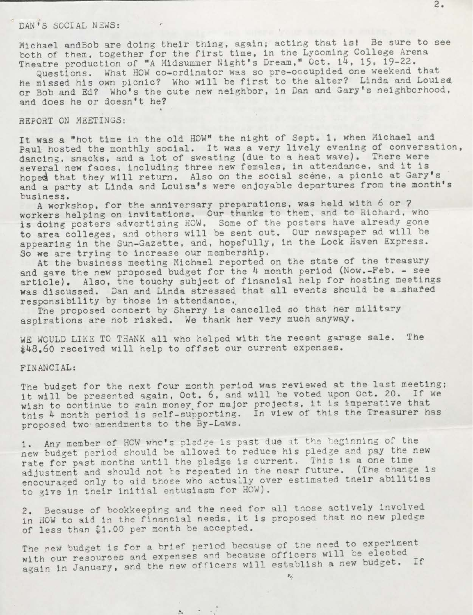### DAN'<sup>S</sup> SOCIAL NEWS:

Michael andBob are doing their thing, again; acting that isl Be sure to see both of them, together for the first time, in the Lycoming College Arena Theatre production of "A Midsummer Night'<sup>s</sup> Dream," Oct. 14, 15, 19-22.

Questions. What HOW co-ordinator was so pre-occuplded one weekend that he missed his own picnic? Who will be first to the alter? Linda and Louisa or Bob and Ed? Who's the cute new neighbor, in Dan and Gary's neighborhood, and does he or doesn't he?

»

#### REPORT ON MEETINGS:

It was <sup>a</sup> "hot time in the old HOW" the night of Sept. 1, when Michael and Paul hosted the monthly social. It was a very lively evening of conversation, dancing, snacks, and a lot of sweating (due to a heat wave). There were several new faces, including three new females, in attendance, and it is hoped that they will return. Also on the social scene, a picnic at Gary's and a party at Linda and Louisa's were enjoyable departures from the month's business.

<sup>A</sup> workshop, for the anniversary preparations, was held with <sup>6</sup> or <sup>7</sup> workers helping on invitations. Our thanks to them, and to Richard, who is doing posters advertising HOW. Some of the posters have already gone to area colleges, and others will be sent out. Our newspaper ad will be appearing in the Sun-Gazette, and, hopefully, in the Lock Haven Express. So we are trying to increase our membership.

At the business meeting Michael reported on the state of the treasury and gave the new proposed budget for the 4 month period (Now.-Feb. - see article). Also, the touchy subject of financial help for hosting meetings was discussed. Dan and Linda stressed that all events should be a shared responsibility by those in attendance..

The proposed concert by Sherry is cancelled so that her military aspirations are not risked. We thank her very much anyway.

WE WOULD LIKE TO THANK all who helped with the recent garage sale. The \$48.60 received will help to offset our current expenses.

#### FINANCIAL:

The budget for the next four month period was reviewed at the last meeting; it will be presented again, Oct. 6, and will he voted upon Oct. 20. If we wish to continue to gain money.for major projects, it is imperative that this <sup>4</sup> month period is self-supporting. In view of this the Treasurer nas proposed two amendments to the By-Laws.

1. Any member of HOW who's pledge is past due at the beginning of the new budget period should be allowed to reduce his pledge and pay the new rate for past months until the pledge is current. This is a one time adjustment and should not te repeated in the near future. (The change is encouraged only to aid those who actually over estimated tneir abilities to give in their initial entusiasm for HOW).

2. Because of bookkeeping and the need for all those actively involved in HOW to aid in the financial needs, it is proposed that no new pledge of less than \$1.00 per month be accepted.

The new budget is for a brief period because of the need to experiment The new budget is for a brief period because of the heed to experiment<br>with our resources and expenses and because officers will be elected with our resources and expenses and because officers will be elected.<br>again in January, and the new officers will establish a new budget. If

 $2x - 2x + 1$ 

 $\mathcal{E}_{\mathbf{q}^{\prime}}$